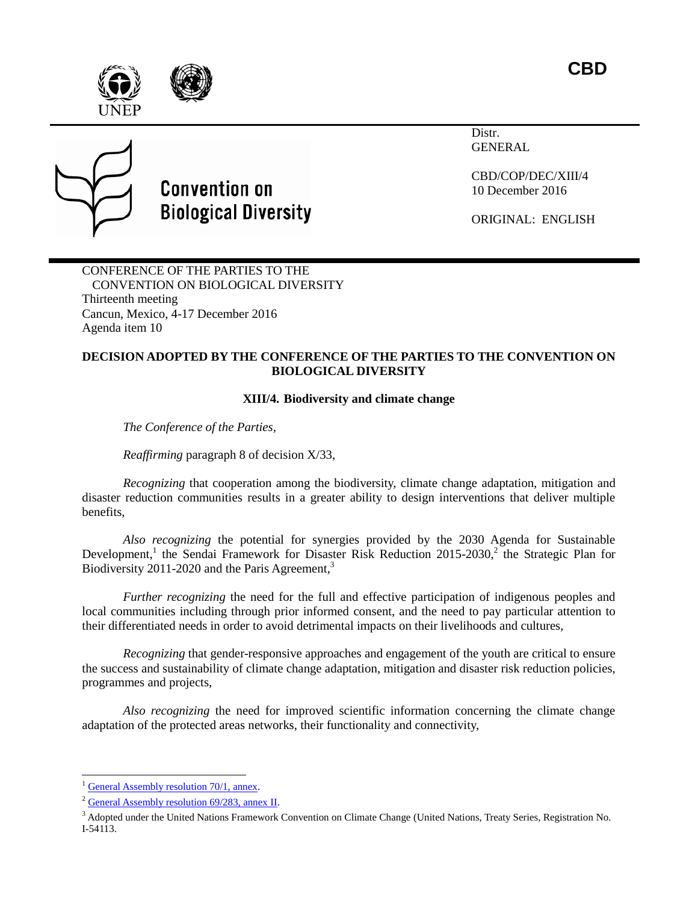**CBD**







## **Convention on Biological Diversity**

Distr. **GENERAL** 

CBD/COP/DEC/XIII/4 10 December 2016

ORIGINAL: ENGLISH

CONFERENCE OF THE PARTIES TO THE CONVENTION ON BIOLOGICAL DIVERSITY Thirteenth meeting Cancun, Mexico, 4-17 December 2016 Agenda item 10

## **DECISION ADOPTED BY THE CONFERENCE OF THE PARTIES TO THE CONVENTION ON BIOLOGICAL DIVERSITY**

## <span id="page-0-1"></span><span id="page-0-0"></span>**XIII/4. Biodiversity and climate change**

*The Conference of the Parties,*

*Reaffirming* paragraph 8 of decision X/33,

*Recognizing* that cooperation among the biodiversity, climate change adaptation, mitigation and disaster reduction communities results in a greater ability to design interventions that deliver multiple benefits,

<span id="page-0-2"></span>*Also recognizing* the potential for synergies provided by the 2030 Agenda for Sustainable Development,<sup>1</sup> the Sendai Framework for Disaster Risk Reduction 2015-2030,<sup>2</sup> the Strategic Plan for Biodiversity 2011-2020 and the Paris Agreement,<sup>3</sup>

*Further recognizing* the need for the full and effective participation of indigenous peoples and local communities including through prior informed consent, and the need to pay particular attention to their differentiated needs in order to avoid detrimental impacts on their livelihoods and cultures,

*Recognizing* that gender-responsive approaches and engagement of the youth are critical to ensure the success and sustainability of climate change adaptation, mitigation and disaster risk reduction policies, programmes and projects,

*Also recognizing* the need for improved scientific information concerning the climate change adaptation of the protected areas networks, their functionality and connectivity,

l

<sup>&</sup>lt;sup>1</sup> [General Assembly resolution 70/1, annex.](http://www.un.org/en/ga/search/view_doc.asp?symbol=A/RES/70/1)

<sup>2</sup> [General Assembly resolution 69/283, annex](http://www.un.org/en/ga/search/view_doc.asp?symbol=A/RES/69/283) II.

<sup>&</sup>lt;sup>3</sup> Adopted under the United Nations Framework Convention on Climate Change (United Nations, Treaty Series, Registration No. I-54113.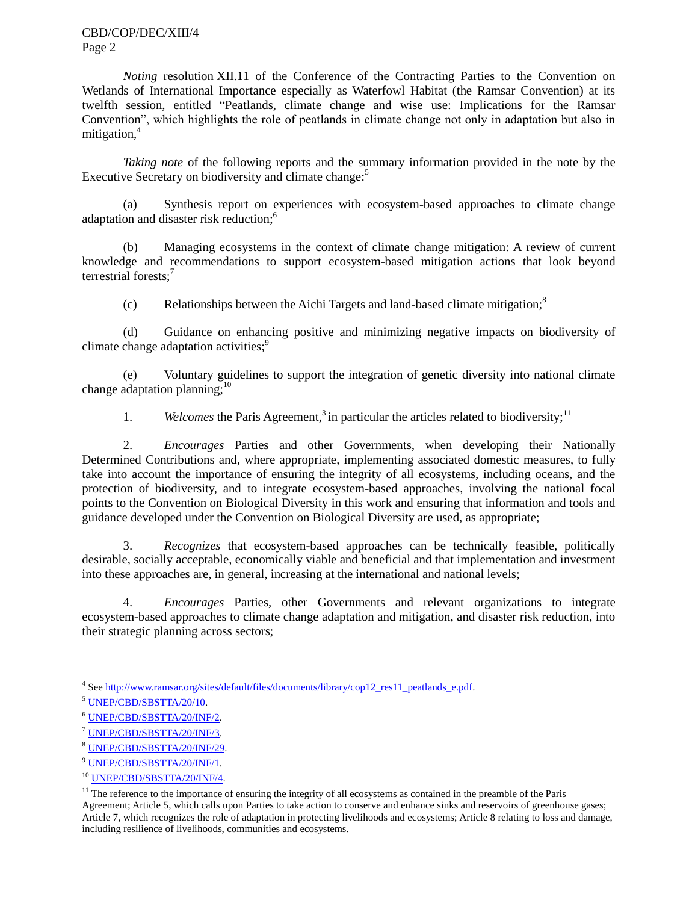CBD/COP/DEC/XIII/4 Page 2

*Noting* resolution XII.11 of the Conference of the Contracting Parties to the Convention on Wetlands of International Importance especially as Waterfowl Habitat (the Ramsar Convention) at its twelfth session, entitled "Peatlands, climate change and wise use: Implications for the Ramsar Convention", which highlights the role of peatlands in climate change not only in adaptation but also in mitigation,<sup>4</sup>

*Taking note* of the following reports and the summary information provided in the note by the Executive Secretary on biodiversity and climate change:<sup>5</sup>

(a) Synthesis report on experiences with ecosystem-based approaches to climate change adaptation and disaster risk reduction;<sup>6</sup>

(b) Managing ecosystems in the context of climate change mitigation: A review of current knowledge and recommendations to support ecosystem-based mitigation actions that look beyond terrestrial forests;<sup>7</sup>

(c) Relationships between the Aichi Targets and land-based climate mitigation; 8

(d) Guidance on enhancing positive and minimizing negative impacts on biodiversity of climate change adaptation activities:<sup>9</sup>

(e) Voluntary guidelines to support the integration of genetic diversity into national climate change adaptation planning; $^{10}$ 

1. *Welcomes* the Paris Agreement[,](#page-0-0)<sup>3</sup> in particular the articles related to biodiversity;<sup>11</sup>

2. *Encourages* Parties and other Governments, when developing their Nationally Determined Contributions and, where appropriate, implementing associated domestic measures, to fully take into account the importance of ensuring the integrity of all ecosystems, including oceans, and the protection of biodiversity, and to integrate ecosystem-based approaches, involving the national focal points to the Convention on Biological Diversity in this work and ensuring that information and tools and guidance developed under the Convention on Biological Diversity are used, as appropriate;

3. *Recognizes* that ecosystem-based approaches can be technically feasible, politically desirable, socially acceptable, economically viable and beneficial and that implementation and investment into these approaches are, in general, increasing at the international and national levels;

4. *Encourages* Parties, other Governments and relevant organizations to integrate ecosystem-based approaches to climate change adaptation and mitigation, and disaster risk reduction, into their strategic planning across sectors;

 4 Se[e http://www.ramsar.org/sites/default/files/documents/library/cop12\\_res11\\_peatlands\\_e.pdf.](http://www.ramsar.org/sites/default/files/documents/library/cop12_res11_peatlands_e.pdf)

<sup>5</sup> [UNEP/CBD/SBSTTA/20/10.](https://www.cbd.int/doc/meetings/sbstta/sbstta-20/official/sbstta-20-10-en.doc)

<sup>6</sup> [UNEP/CBD/SBSTTA/20/INF/2.](https://www.cbd.int/doc/meetings/sbstta/sbstta-20/information/sbstta-20-inf-02-en.pdf)

<sup>7</sup> [UNEP/CBD/SBSTTA/20/INF/3.](https://www.cbd.int/doc/meetings/sbstta/sbstta-20/information/sbstta-20-inf-03-en.doc)

<sup>8</sup> [UNEP/CBD/SBSTTA/20/INF/29.](https://www.cbd.int/doc/meetings/sbstta/sbstta-20/information/sbstta-20-inf-29-en.doc)

<sup>9</sup> [UNEP/CBD/SBSTTA/20/INF/1.](https://www.cbd.int/doc/meetings/sbstta/sbstta-20/information/sbstta-20-inf-01-en.doc)

<sup>10</sup> [UNEP/CBD/SBSTTA/20/INF/4.](https://www.cbd.int/doc/meetings/sbstta/sbstta-20/information/sbstta-20-inf-04-en.pdf)

 $<sup>11</sup>$  The reference to the importance of ensuring the integrity of all ecosystems as contained in the preamble of the Paris</sup> Agreement; Article 5, which calls upon Parties to take action to conserve and enhance sinks and reservoirs of greenhouse gases; Article 7, which recognizes the role of adaptation in protecting livelihoods and ecosystems; Article 8 relating to loss and damage, including resilience of livelihoods, communities and ecosystems.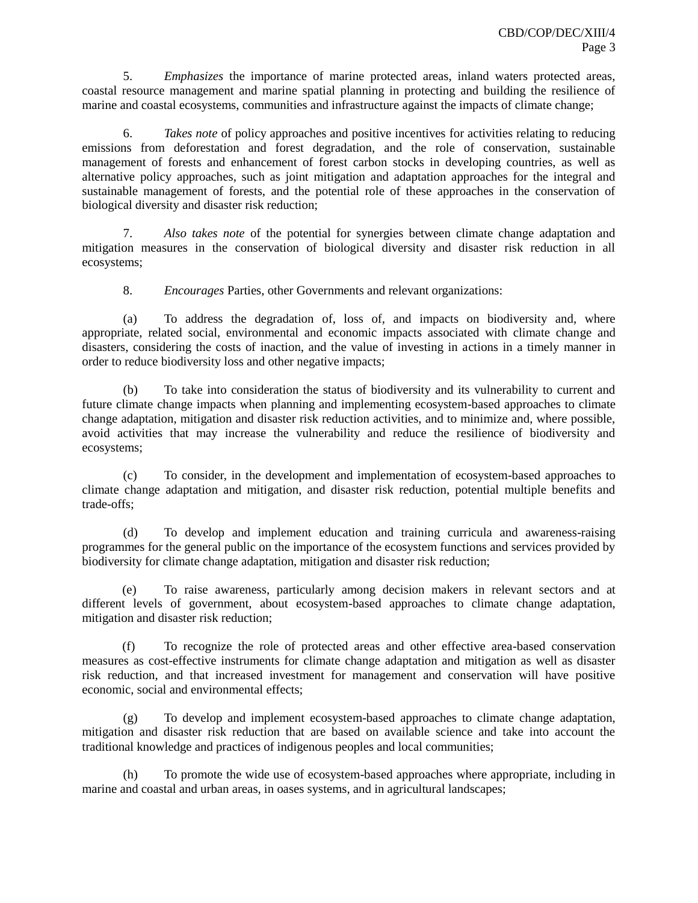5. *Emphasizes* the importance of marine protected areas, inland waters protected areas, coastal resource management and marine spatial planning in protecting and building the resilience of marine and coastal ecosystems, communities and infrastructure against the impacts of climate change;

6. *Takes note* of policy approaches and positive incentives for activities relating to reducing emissions from deforestation and forest degradation, and the role of conservation, sustainable management of forests and enhancement of forest carbon stocks in developing countries, as well as alternative policy approaches, such as joint mitigation and adaptation approaches for the integral and sustainable management of forests, and the potential role of these approaches in the conservation of biological diversity and disaster risk reduction;

7. *Also takes note* of the potential for synergies between climate change adaptation and mitigation measures in the conservation of biological diversity and disaster risk reduction in all ecosystems;

8. *Encourages* Parties, other Governments and relevant organizations:

(a) To address the degradation of, loss of, and impacts on biodiversity and, where appropriate, related social, environmental and economic impacts associated with climate change and disasters, considering the costs of inaction, and the value of investing in actions in a timely manner in order to reduce biodiversity loss and other negative impacts;

(b) To take into consideration the status of biodiversity and its vulnerability to current and future climate change impacts when planning and implementing ecosystem-based approaches to climate change adaptation, mitigation and disaster risk reduction activities, and to minimize and, where possible, avoid activities that may increase the vulnerability and reduce the resilience of biodiversity and ecosystems;

(c) To consider, in the development and implementation of ecosystem-based approaches to climate change adaptation and mitigation, and disaster risk reduction, potential multiple benefits and trade-offs;

(d) To develop and implement education and training curricula and awareness-raising programmes for the general public on the importance of the ecosystem functions and services provided by biodiversity for climate change adaptation, mitigation and disaster risk reduction;

(e) To raise awareness, particularly among decision makers in relevant sectors and at different levels of government, about ecosystem-based approaches to climate change adaptation, mitigation and disaster risk reduction;

(f) To recognize the role of protected areas and other effective area-based conservation measures as cost-effective instruments for climate change adaptation and mitigation as well as disaster risk reduction, and that increased investment for management and conservation will have positive economic, social and environmental effects;

(g) To develop and implement ecosystem-based approaches to climate change adaptation, mitigation and disaster risk reduction that are based on available science and take into account the traditional knowledge and practices of indigenous peoples and local communities;

(h) To promote the wide use of ecosystem-based approaches where appropriate, including in marine and coastal and urban areas, in oases systems, and in agricultural landscapes;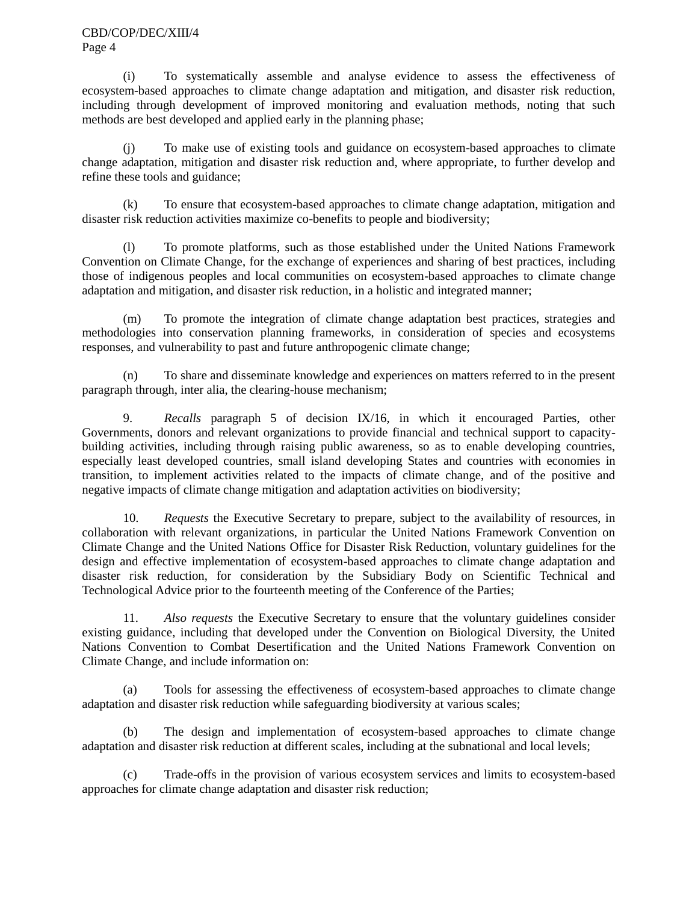(i) To systematically assemble and analyse evidence to assess the effectiveness of ecosystem-based approaches to climate change adaptation and mitigation, and disaster risk reduction, including through development of improved monitoring and evaluation methods, noting that such methods are best developed and applied early in the planning phase;

(j) To make use of existing tools and guidance on ecosystem-based approaches to climate change adaptation, mitigation and disaster risk reduction and, where appropriate, to further develop and refine these tools and guidance;

(k) To ensure that ecosystem-based approaches to climate change adaptation, mitigation and disaster risk reduction activities maximize co-benefits to people and biodiversity;

(l) To promote platforms, such as those established under the United Nations Framework Convention on Climate Change, for the exchange of experiences and sharing of best practices, including those of indigenous peoples and local communities on ecosystem-based approaches to climate change adaptation and mitigation, and disaster risk reduction, in a holistic and integrated manner;

(m) To promote the integration of climate change adaptation best practices, strategies and methodologies into conservation planning frameworks, in consideration of species and ecosystems responses, and vulnerability to past and future anthropogenic climate change;

(n) To share and disseminate knowledge and experiences on matters referred to in the present paragraph through, inter alia, the clearing-house mechanism;

9. *Recalls* paragraph 5 of decision IX/16, in which it encouraged Parties, other Governments, donors and relevant organizations to provide financial and technical support to capacitybuilding activities, including through raising public awareness, so as to enable developing countries, especially least developed countries, small island developing States and countries with economies in transition, to implement activities related to the impacts of climate change, and of the positive and negative impacts of climate change mitigation and adaptation activities on biodiversity;

10. *Requests* the Executive Secretary to prepare, subject to the availability of resources, in collaboration with relevant organizations, in particular the United Nations Framework Convention on Climate Change and the United Nations Office for Disaster Risk Reduction, voluntary guidelines for the design and effective implementation of ecosystem-based approaches to climate change adaptation and disaster risk reduction, for consideration by the Subsidiary Body on Scientific Technical and Technological Advice prior to the fourteenth meeting of the Conference of the Parties;

11. *Also requests* the Executive Secretary to ensure that the voluntary guidelines consider existing guidance, including that developed under the Convention on Biological Diversity, the United Nations Convention to Combat Desertification and the United Nations Framework Convention on Climate Change, and include information on:

(a) Tools for assessing the effectiveness of ecosystem-based approaches to climate change adaptation and disaster risk reduction while safeguarding biodiversity at various scales;

(b) The design and implementation of ecosystem-based approaches to climate change adaptation and disaster risk reduction at different scales, including at the subnational and local levels;

(c) Trade-offs in the provision of various ecosystem services and limits to ecosystem-based approaches for climate change adaptation and disaster risk reduction;